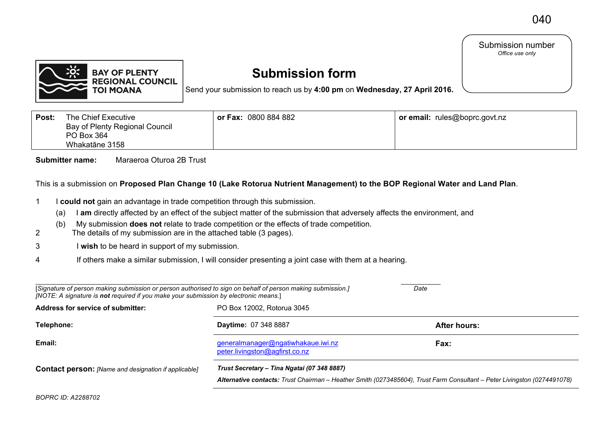## Submission number *Office use only*



## **Submission form**

Send your submission to reach us by **4:00 pm** on **Wednesday, 27 April 2016.**

| Post: | The Chief Executive<br>Bay of Plenty Regional Council<br>PO Box 364<br>Whakatāne 3158 | or Fax: 0800 884 882 | or email: rules@boprc.govt.nz |
|-------|---------------------------------------------------------------------------------------|----------------------|-------------------------------|
|       |                                                                                       |                      |                               |

**Submitter name:** Maraeroa Oturoa 2B Trust

This is a submission on **Proposed Plan Change 10 (Lake Rotorua Nutrient Management) to the BOP Regional Water and Land Plan**.

- 1 I **could not** gain an advantage in trade competition through this submission.
	- (a) I **am** directly affected by an effect of the subject matter of the submission that adversely affects the environment, and
	- (b) My submission **does not** relate to trade competition or the effects of trade competition.
- 2 The details of my submission are in the attached table (3 pages).
- 3 I **wish** to be heard in support of my submission.
- 4 If others make a similar submission, I will consider presenting a joint case with them at a hearing.

| [Signature of person making submission or person authorised to sign on behalf of person making submission.]<br>[NOTE: A signature is not required if you make your submission by electronic means.] | Date                                                                 |                                                                                                                          |  |
|-----------------------------------------------------------------------------------------------------------------------------------------------------------------------------------------------------|----------------------------------------------------------------------|--------------------------------------------------------------------------------------------------------------------------|--|
| Address for service of submitter:                                                                                                                                                                   | PO Box 12002, Rotorua 3045                                           |                                                                                                                          |  |
| Telephone:                                                                                                                                                                                          | <b>Daytime: 07 348 8887</b>                                          | <b>After hours:</b>                                                                                                      |  |
| Email:                                                                                                                                                                                              | generalmanager@ngatiwhakaue.iwi.nz<br>peter.livingston@agfirst.co.nz | Fax:                                                                                                                     |  |
| Trust Secretary – Tina Ngatai (07 348 8887)<br><b>Contact person:</b> [Name and designation if applicable]                                                                                          |                                                                      | Alternative contacts: Trust Chairman - Heather Smith (0273485604), Trust Farm Consultant - Peter Livingston (0274491078) |  |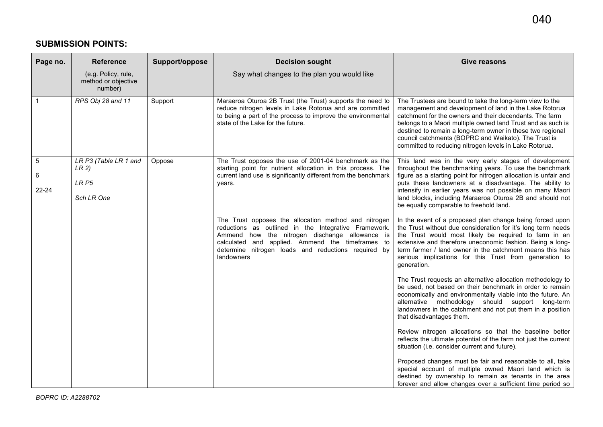## **SUBMISSION POINTS:**

| Page no.            | <b>Reference</b>                                                 | Support/oppose | <b>Decision sought</b>                                                                                                                                                                                                                                                                  | <b>Give reasons</b>                                                                                                                                                                                                                                                                                                                                                                                                          |
|---------------------|------------------------------------------------------------------|----------------|-----------------------------------------------------------------------------------------------------------------------------------------------------------------------------------------------------------------------------------------------------------------------------------------|------------------------------------------------------------------------------------------------------------------------------------------------------------------------------------------------------------------------------------------------------------------------------------------------------------------------------------------------------------------------------------------------------------------------------|
|                     | (e.g. Policy, rule,<br>method or objective<br>number)            |                | Say what changes to the plan you would like                                                                                                                                                                                                                                             |                                                                                                                                                                                                                                                                                                                                                                                                                              |
|                     | RPS Obj 28 and 11                                                | Support        | Maraeroa Oturoa 2B Trust (the Trust) supports the need to<br>reduce nitrogen levels in Lake Rotorua and are committed<br>to being a part of the process to improve the environmental<br>state of the Lake for the future.                                                               | The Trustees are bound to take the long-term view to the<br>management and development of land in the Lake Rotorua<br>catchment for the owners and their decendants. The farm<br>belongs to a Maori multiple owned land Trust and as such is<br>destined to remain a long-term owner in these two regional<br>council catchments (BOPRC and Waikato). The Trust is<br>committed to reducing nitrogen levels in Lake Rotorua. |
| 5<br>6<br>$22 - 24$ | LR P3 (Table LR 1 and<br>LR 2)<br>LR <sub>P5</sub><br>Sch LR One | Oppose         | The Trust opposes the use of 2001-04 benchmark as the<br>starting point for nutrient allocation in this process. The<br>current land use is significantly different from the benchmark<br>years.                                                                                        | This land was in the very early stages of development<br>throughout the benchmarking years. To use the benchmark<br>figure as a starting point for nitrogen allocation is unfair and<br>puts these landowners at a disadvantage. The ability to<br>intensify in earlier years was not possible on many Maori<br>land blocks, including Maraeroa Oturoa 2B and should not<br>be equally comparable to freehold land.          |
|                     |                                                                  |                | The Trust opposes the allocation method and nitrogen<br>reductions as outlined in the Integrative Framework.<br>Ammend how the nitrogen dischange allowance is<br>calculated and applied. Ammend the timeframes to<br>determine nitrogen loads and reductions required by<br>landowners | In the event of a proposed plan change being forced upon<br>the Trust without due consideration for it's long term needs<br>the Trust would most likely be required to farm in an<br>extensive and therefore uneconomic fashion. Being a long-<br>term farmer / land owner in the catchment means this has<br>serious implications for this Trust from generation to<br>generation.                                          |
|                     |                                                                  |                |                                                                                                                                                                                                                                                                                         | The Trust requests an alternative allocation methodology to<br>be used, not based on their benchmark in order to remain<br>economically and environmentally viable into the future. An<br>alternative methodology should support long-term<br>landowners in the catchment and not put them in a position<br>that disadvantages them.                                                                                         |
|                     |                                                                  |                |                                                                                                                                                                                                                                                                                         | Review nitrogen allocations so that the baseline better<br>reflects the ultimate potential of the farm not just the current<br>situation (i.e. consider current and future).                                                                                                                                                                                                                                                 |
|                     |                                                                  |                |                                                                                                                                                                                                                                                                                         | Proposed changes must be fair and reasonable to all, take<br>special account of multiple owned Maori land which is<br>destined by ownership to remain as tenants in the area<br>forever and allow changes over a sufficient time period so                                                                                                                                                                                   |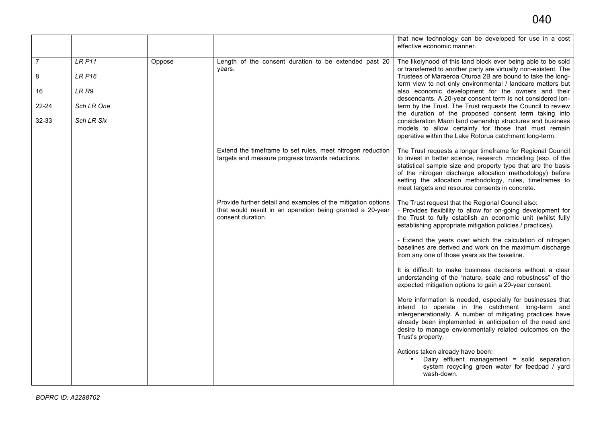|                |                   |        |                                                                                                                                                 | that new technology can be developed for use in a cost<br>effective economic manner.                                                                                                                                                                                                                                                                                   |
|----------------|-------------------|--------|-------------------------------------------------------------------------------------------------------------------------------------------------|------------------------------------------------------------------------------------------------------------------------------------------------------------------------------------------------------------------------------------------------------------------------------------------------------------------------------------------------------------------------|
| $\overline{7}$ | LRP11             | Oppose | Length of the consent duration to be extended past 20<br>years.                                                                                 | The likelyhood of this land block ever being able to be sold<br>or transferred to another party are virtually non-existent. The                                                                                                                                                                                                                                        |
| 8              | <b>LR P16</b>     |        |                                                                                                                                                 | Trustees of Maraeroa Oturoa 2B are bound to take the long-<br>term view to not only environmental / landcare matters but                                                                                                                                                                                                                                               |
| 16             | LR R9             |        |                                                                                                                                                 | also economic development for the owners and their<br>descendants. A 20-year consent term is not considered lon-                                                                                                                                                                                                                                                       |
| $22 - 24$      | Sch LR One        |        |                                                                                                                                                 | term by the Trust. The Trust requests the Council to review<br>the duration of the proposed consent term taking into                                                                                                                                                                                                                                                   |
| 32-33          | <b>Sch LR Six</b> |        |                                                                                                                                                 | consideration Maori land ownership structures and business<br>models to allow certainty for those that must remain<br>operative within the Lake Rotorua catchment long-term.                                                                                                                                                                                           |
|                |                   |        | Extend the timeframe to set rules, meet nitrogen reduction<br>targets and measure progress towards reductions.                                  | The Trust requests a longer timeframe for Regional Council<br>to invest in better science, research, modelling (esp. of the<br>statistical sample size and property type that are the basis<br>of the nitrogen discharge allocation methodology) before<br>setting the allocation methodology, rules, timeframes to<br>meet targets and resource consents in concrete. |
|                |                   |        | Provide further detail and examples of the mitigation options<br>that would result in an operation being granted a 20-year<br>consent duration. | The Trust request that the Regional Council also:<br>- Provides flexibility to allow for on-going development for<br>the Trust to fully establish an economic unit (whilst fully<br>establishing appropriate mitigation policies / practices).                                                                                                                         |
|                |                   |        |                                                                                                                                                 | - Extend the years over which the calculation of nitrogen<br>baselines are derived and work on the maximum discharge<br>from any one of those years as the baseline.                                                                                                                                                                                                   |
|                |                   |        |                                                                                                                                                 | It is difficult to make business decisions without a clear<br>understanding of the "nature, scale and robustness" of the<br>expected mitigation options to gain a 20-year consent.                                                                                                                                                                                     |
|                |                   |        |                                                                                                                                                 | More information is needed, especially for businesses that<br>intend to operate in the catchment long-term and<br>intergenerationally. A number of mitigating practices have<br>already been implemented in anticipation of the need and<br>desire to manage envionmentally related outcomes on the<br>Trust's property.                                               |
|                |                   |        |                                                                                                                                                 | Actions taken already have been:<br>Dairy effluent management = solid separation<br>$\bullet$<br>system recycling green water for feedpad / yard<br>wash-down.                                                                                                                                                                                                         |